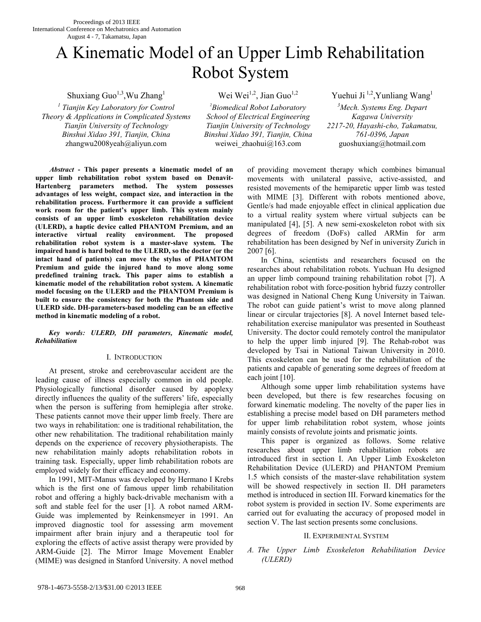# A Kinematic Model of an Upper Limb Rehabilitation Robot System

Shuxiang Guo<sup>1,3</sup>, Wu Zhang<sup>1</sup>

*1 Tianjin Key Laboratory for Control Theory & Applications in Complicated Systems Tianjin University of Technology Binshui Xidao 391, Tianjin, China* zhangwu2008yeah@aliyun.com weiwei\_zhaohui@163.com guoshuxiang@hotmail.com

*2 Biomedical Robot Laboratory School of Electrical Engineering Tianjin University of Technology Binshui Xidao 391, Tianjin, China*

Wei Wei<sup>1,2</sup>, Jian Guo<sup>1,2</sup> Yuehui Ji<sup>1,2</sup>, Yunliang Wang<sup>1</sup> *3 Mech. Systems Eng. Depart Kagawa University 2217-20, Hayashi-cho, Takamatsu, 761-0396, Japan* 

 *Abstract* **- This paper presents a kinematic model of an upper limb rehabilitation robot system based on Denavit-Hartenberg parameters method. The system possesses advantages of less weight, compact size, and interaction in the rehabilitation process. Furthermore it can provide a sufficient work room for the patient's upper limb. This system mainly consists of an upper limb exoskeleton rehabilitation device (ULERD), a haptic device called PHANTOM Premium, and an interactive virtual reality environment. The proposed rehabilitation robot system is a master-slave system. The impaired hand is hard bolted to the ULERD, so the doctor (or the intact hand of patients) can move the stylus of PHAMTOM Premium and guide the injured hand to move along some predefined training track. This paper aims to establish a kinematic model of the rehabilitation robot system. A kinematic model focusing on the ULERD and the PHANTOM Premium is built to ensure the consistency for both the Phantom side and ULERD side. DH-parameters-based modeling can be an effective method in kinematic modeling of a robot.** 

## *Key words: ULERD, DH parameters, Kinematic model, Rehabilitation*

## I. INTRODUCTION

At present, stroke and cerebrovascular accident are the leading cause of illness especially common in old people. Physiologically functional disorder caused by apoplexy directly influences the quality of the sufferers' life, especially when the person is suffering from hemiplegia after stroke. These patients cannot move their upper limb freely. There are two ways in rehabilitation: one is traditional rehabilitation, the other new rehabilitation. The traditional rehabilitation mainly depends on the experience of recovery physiotherapists. The new rehabilitation mainly adopts rehabilitation robots in training task. Especially, upper limb rehabilitation robots are employed widely for their efficacy and economy.

In 1991, MIT-Manus was developed by Hermano I Krebs which is the first one of famous upper limb rehabilitation robot and offering a highly back-drivable mechanism with a soft and stable feel for the user [1]. A robot named ARM-Guide was implemented by Reinkensmeyer in 1991. An improved diagnostic tool for assessing arm movement impairment after brain injury and a therapeutic tool for exploring the effects of active assist therapy were provided by ARM-Guide [2]. The Mirror Image Movement Enabler (MIME) was designed in Stanford University. A novel method

of providing movement therapy which combines bimanual movements with unilateral passive, active-assisted, and resisted movements of the hemiparetic upper limb was tested with MIME [3]. Different with robots mentioned above, Gentle/s had made enjoyable effect in clinical application due to a virtual reality system where virtual subjects can be manipulated [4], [5]. A new semi-exoskeleton robot with six degrees of freedom (DoFs) called ARMin for arm rehabilitation has been designed by Nef in university Zurich in 2007 [6].

In China, scientists and researchers focused on the researches about rehabilitation robots. Yuchuan Hu designed an upper limb compound training rehabilitation robot [7]. A rehabilitation robot with force-position hybrid fuzzy controller was designed in National Cheng Kung University in Taiwan. The robot can guide patient's wrist to move along planned linear or circular trajectories [8]. A novel Internet based telerehabilitation exercise manipulator was presented in Southeast University. The doctor could remotely control the manipulator to help the upper limb injured [9]. The Rehab-robot was developed by Tsai in National Taiwan University in 2010. This exoskeleton can be used for the rehabilitation of the patients and capable of generating some degrees of freedom at each joint [10].

Although some upper limb rehabilitation systems have been developed, but there is few researches focusing on forward kinematic modeling. The novelty of the paper lies in establishing a precise model based on DH parameters method for upper limb rehabilitation robot system, whose joints mainly consists of revolute joints and prismatic joints.

This paper is organized as follows. Some relative researches about upper limb rehabilitation robots are introduced first in section I. An Upper Limb Exoskeleton Rehabilitation Device (ULERD) and PHANTOM Premium 1.5 which consists of the master-slave rehabilitation system will be showed respectively in section II. DH parameters method is introduced in section III. Forward kinematics for the robot system is provided in section IV. Some experiments are carried out for evaluating the accuracy of proposed model in section V. The last section presents some conclusions.

# II. EXPERIMENTAL SYSTEM

# *A. The Upper Limb Exoskeleton Rehabilitation Device (ULERD)*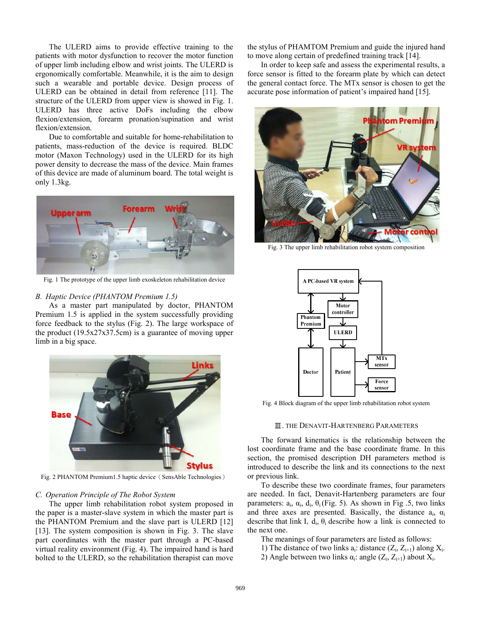The ULERD aims to provide effective training to the patients with motor dysfunction to recover the motor function of upper limb including elbow and wrist joints. The ULERD is ergonomically comfortable. Meanwhile, it is the aim to design such a wearable and portable device. Design process of ULERD can be obtained in detail from reference [11]. The structure of the ULERD from upper view is showed in Fig. 1. ULERD has three active DoFs including the elbow flexion/extension, forearm pronation/supination and wrist flexion/extension.

Due to comfortable and suitable for home-rehabilitation to patients, mass-reduction of the device is required. BLDC motor (Maxon Technology) used in the ULERD for its high power density to decrease the mass of the device. Main frames of this device are made of aluminum board. The total weight is only 1.3kg.



Fig. 1 The prototype of the upper limb exoskeleton rehabilitation device

#### *B. Haptic Device (PHANTOM Premium 1.5)*

As a master part manipulated by doctor, PHANTOM Premium 1.5 is applied in the system successfully providing force feedback to the stylus (Fig. 2). The large workspace of the product (19.5x27x37.5cm) is a guarantee of moving upper limb in a big space.



Fig. 2 PHANTOM Premium1.5 haptic device (SensAble Technologies)

#### *C. Operation Principle of The Robot System*

The upper limb rehabilitation robot system proposed in the paper is a master-slave system in which the master part is the PHANTOM Premium and the slave part is ULERD [12] [13]. The system composition is shown in Fig. 3. The slave part coordinates with the master part through a PC-based virtual reality environment (Fig. 4). The impaired hand is hard bolted to the ULERD, so the rehabilitation therapist can move the stylus of PHAMTOM Premium and guide the injured hand to move along certain of predefined training track [14].

In order to keep safe and assess the experimental results, a force sensor is fitted to the forearm plate by which can detect the general contact force. The MTx sensor is chosen to get the accurate pose information of patient's impaired hand [15].



Fig. 3 The upper limb rehabilitation robot system composition



Fig. 4 Block diagram of the upper limb rehabilitation robot system

#### Ⅲ. THE DENAVIT-HARTENBERG PARAMETERS

The forward kinematics is the relationship between the lost coordinate frame and the base coordinate frame. In this section, the promised description DH parameters method is introduced to describe the link and its connections to the next or previous link.

To describe these two coordinate frames, four parameters are needed. In fact, Denavit-Hartenberg parameters are four parameters:  $a_i$ ,  $a_j$ ,  $d_i$ ,  $\theta_i$  (Fig. 5). As shown in Fig. 5, two links and three axes are presented. Basically, the distance  $a_i$ ,  $\alpha_i$ describe that link I,  $d_i$ ,  $\theta_i$  describe how a link is connected to the next one.

The meanings of four parameters are listed as follows:

- 1) The distance of two links  $a_i$ : distance  $(Z_i, Z_{i+1})$  along  $X_i$ .
- 2) Angle between two links  $\alpha_i$ : angle  $(Z_i, Z_{i+1})$  about  $X_i$ .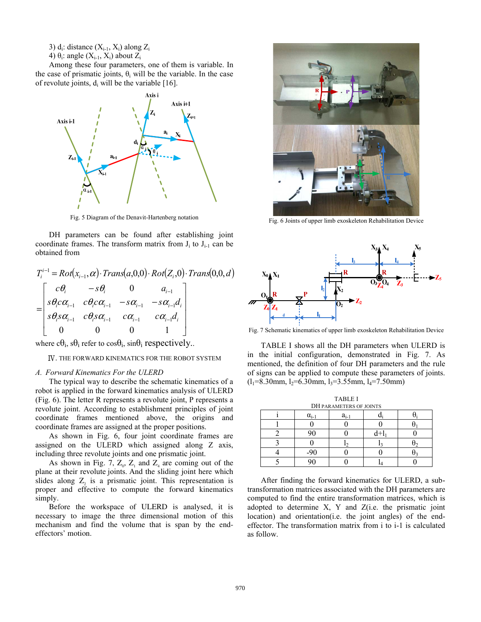3)  $d_i$ : distance  $(X_{i-1}, X_i)$  along  $Z_i$ 

4)  $\theta_i$ : angle  $(X_{i-1}, X_i)$  about  $Z_i$ 

Among these four parameters, one of them is variable. In the case of prismatic joints,  $\theta_i$  will be the variable. In the case of revolute joints,  $d_i$  will be the variable [16].



Fig. 5 Diagram of the Denavit-Hartenberg notation

DH parameters can be found after establishing joint coordinate frames. The transform matrix from  $J_i$  to  $J_{i-1}$  can be obtained from

$$
T_i^{i-1} = Rot(x_{i-1}, \alpha) \cdot Trans(a, 0, 0) \cdot Rot(Z_i, 0) \cdot Trans(0, 0, d)
$$
  
= 
$$
\begin{bmatrix} c\theta_i & -s\theta_i & 0 & a_{i-1} \\ s\theta_i c\alpha_{i-1} & c\theta_i c\alpha_{i-1} & -s\alpha_{i-1} & -s\alpha_{i-1}d_i \\ s\theta_i s\alpha_{i-1} & c\theta_i s\alpha_{i-1} & c\alpha_{i-1} & c\alpha_{i-1}d_i \\ 0 & 0 & 0 & 1 \end{bmatrix}
$$

where  $c\theta_i$ ,  $s\theta_i$  refer to  $cos\theta_i$ ,  $sin\theta_i$  respectively..

Ⅳ. THE FORWARD KINEMATICS FOR THE ROBOT SYSTEM

#### *A. Forward Kinematics For the ULERD*

The typical way to describe the schematic kinematics of a robot is applied in the forward kinematics analysis of ULERD (Fig. 6). The letter R represents a revolute joint, P represents a revolute joint. According to establishment principles of joint coordinate frames mentioned above, the origins and coordinate frames are assigned at the proper positions.

As shown in Fig. 6, four joint coordinate frames are assigned on the ULERD which assigned along Z axis, including three revolute joints and one prismatic joint.

As shown in Fig. 7,  $Z_0$ ,  $Z_1$  and  $Z_4$  are coming out of the plane at their revolute joints. And the sliding joint here which slides along  $Z_2$  is a prismatic joint. This representation is proper and effective to compute the forward kinematics simply.

Before the workspace of ULERD is analysed, it is necessary to image the three dimensional motion of this mechanism and find the volume that is span by the endeffectors' motion.



Fig. 6 Joints of upper limb exoskeleton Rehabilitation Device



Fig. 7 Schematic kinematics of upper limb exoskeleton Rehabilitation Device

TABLE I shows all the DH parameters when ULERD is in the initial configuration, demonstrated in Fig. 7. As mentioned, the definition of four DH parameters and the rule of signs can be applied to compute these parameters of joints.  $(l_1=8.30$ mm,  $l_2=6.30$ mm,  $l_3=3.55$ mm,  $l_4=7.50$ mm)

| <b>TABLE I</b>                 |                |           |  |  |  |  |  |
|--------------------------------|----------------|-----------|--|--|--|--|--|
| <b>DH PARAMETERS OF JOINTS</b> |                |           |  |  |  |  |  |
|                                | $\alpha_{i-1}$ | $a_{i-1}$ |  |  |  |  |  |
|                                |                |           |  |  |  |  |  |
|                                |                |           |  |  |  |  |  |
|                                |                |           |  |  |  |  |  |
|                                |                |           |  |  |  |  |  |
|                                |                |           |  |  |  |  |  |

After finding the forward kinematics for ULERD, a subtransformation matrices associated with the DH parameters are computed to find the entire transformation matrices, which is adopted to determine X, Y and Z(i.e. the prismatic joint location) and orientation(i.e. the joint angles) of the endeffector. The transformation matrix from i to i-1 is calculated as follow.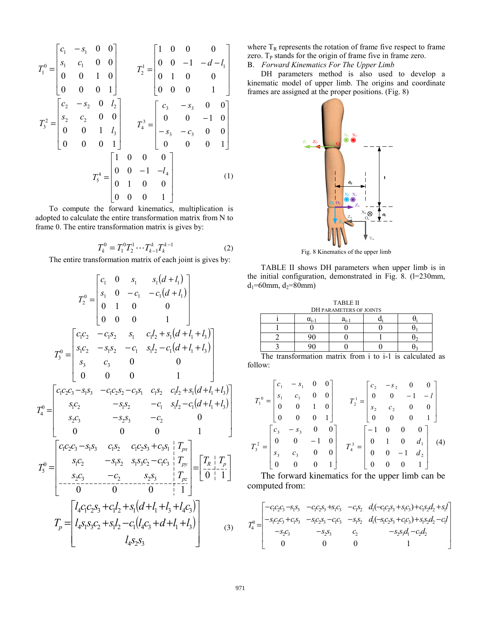$$
T_1^0 = \begin{bmatrix} c_1 & -s_1 & 0 & 0 \\ s_1 & c_1 & 0 & 0 \\ 0 & 0 & 1 & 0 \\ 0 & 0 & 0 & 1 \end{bmatrix} \qquad T_2^1 = \begin{bmatrix} 1 & 0 & 0 & 0 \\ 0 & 0 & -1 & -d - l_1 \\ 0 & 1 & 0 & 0 \\ 0 & 0 & 0 & 1 \end{bmatrix}
$$

$$
T_3^2 = \begin{bmatrix} c_2 & -s_2 & 0 & l_2 \\ s_2 & c_2 & 0 & 0 \\ 0 & 0 & 1 & l_3 \\ 0 & 0 & 0 & 1 \end{bmatrix} \qquad T_4^3 = \begin{bmatrix} c_3 & -s_3 & 0 & 0 \\ 0 & 0 & -1 & 0 \\ -s_3 & -c_3 & 0 & 0 \\ 0 & 0 & 0 & 1 \end{bmatrix}
$$

$$
T_5^4 = \begin{bmatrix} 1 & 0 & 0 & 0 \\ 0 & 0 & -1 & -l_4 \\ 0 & 1 & 0 & 0 \\ 0 & 0 & 0 & 1 \end{bmatrix} \qquad (1)
$$

To compute the forward kinematics, multiplication is adopted to calculate the entire transformation matrix from N to frame 0. The entire transformation matrix is gives by:

$$
T_k^0 = T_1^0 T_2^1 \cdots T_{k-1}^k T_k^{k-1}
$$
 (2)

The entire transformation matrix of each joint is gives by:

$$
T_2^0 = \begin{bmatrix} c_1 & 0 & s_1 & s_1(d+l_1) \\ s_1 & 0 & -c_1 & -c_1(d+l_1) \\ 0 & 1 & 0 & 0 \\ 0 & 0 & 0 & 1 \end{bmatrix}
$$
  
\n
$$
T_3^0 = \begin{bmatrix} c_1c_2 & -c_1s_2 & s_1 & c_1l_2 + s_1(d+l_1+l_3) \\ s_1c_2 & -s_1s_2 & -c_1 & s_1l_2 - c_1(d+l_1+l_3) \\ s_3 & c_3 & 0 & 0 \\ 0 & 0 & 0 & 1 \end{bmatrix}
$$
  
\n
$$
T_4^0 = \begin{bmatrix} c_1c_2c_3 - s_1s_3 & -c_1c_2s_2 - c_3s_1 & c_1s_2 & c_1l_2 + s_1(d+l_1+l_3) \\ s_1c_2 & -s_1s_2 & -c_1 & s_1l_2 - c_1(d+l_1+l_3) \\ s_2c_3 & -s_2s_3 & -c_2 & 0 \\ 0 & 0 & 0 & 1 \end{bmatrix}
$$
  
\n
$$
T_5^0 = \begin{bmatrix} c_1c_2c_3 - s_1s_3 & c_1s_2 & c_1c_2s_3 + c_3s_1 & T_{px} \\ s_1c_2 & -s_1s_2 & s_1s_3c_2 - c_1c_3 & T_{py} \\ s_1c_2 & -s_1s_2 & s_1s_3c_2 - c_1c_3 & T_{py} \\ -s_2c_3 & -c_2 & s_2s_3 & T_{pz} \\ -s_2c_3 & -c_2 & s_2s_3 & T_{pz} \\ -s_2c_3 & -c_2 & s_2s_3 & T_{pz} \\ -s_2c_3 & -c_2(c_2s_3 + c_1l_2 + s_1(d+l_1+l_3+l_4c_3) \\ s_2c_3 & s_2c_3 + s_1l_2 - c_1(d_lc_3 + d_l + l_1+l_3) \end{bmatrix}
$$
(3)

where  $T_R$  represents the rotation of frame five respect to frame zero.  $T<sub>P</sub>$  stands for the origin of frame five in frame zero.

B. *Forward Kinematics For The Upper Limb*

DH parameters method is also used to develop a kinematic model of upper limb. The origins and coordinate frames are assigned at the proper positions. (Fig. 8)



Fig. 8 Kinematics of the upper limb

TABLE II shows DH parameters when upper limb is in the initial configuration, demonstrated in Fig. 8. (l=230mm,  $d_1$ =60mm,  $d_2$ =80mm)

| <b>TABLE II</b>                |                |    |  |  |  |  |  |
|--------------------------------|----------------|----|--|--|--|--|--|
| <b>DH PARAMETERS OF JOINTS</b> |                |    |  |  |  |  |  |
|                                | $\alpha_{i-1}$ | a. |  |  |  |  |  |
|                                |                |    |  |  |  |  |  |
|                                |                |    |  |  |  |  |  |
|                                |                |    |  |  |  |  |  |

The transformation matrix from i to i-1 is calculated as follow:

$$
T_1^0 = \begin{bmatrix} c_1 & -s_1 & 0 & 0 \\ s_1 & c_1 & 0 & 0 \\ 0 & 0 & 1 & 0 \\ 0 & 0 & 0 & 1 \end{bmatrix} \qquad T_2^1 = \begin{bmatrix} c_2 & -s_2 & 0 & 0 \\ 0 & 0 & -1 & -l \\ s_2 & c_2 & 0 & 0 \\ 0 & 0 & 0 & 1 \end{bmatrix}
$$

$$
T_3^2 = \begin{bmatrix} c_3 & -s_3 & 0 & 0 \\ 0 & 0 & -1 & 0 \\ s_3 & c_3 & 0 & 0 \\ 0 & 0 & 0 & 1 \end{bmatrix} \qquad T_4^3 = \begin{bmatrix} -1 & 0 & 0 & 0 \\ 0 & 1 & 0 & d_1 \\ 0 & 0 & -1 & d_2 \\ 0 & 0 & 0 & 1 \end{bmatrix} \qquad (4)
$$

The forward kinematics for the upper limb can be computed from:

$$
T_4^0 = \begin{bmatrix} -c_1c_2c_3 - s_1s_3 & -c_1c_2s_3 + s_1c_3 & -c_1s_2 & d_1(-c_1c_2s_3 + s_1c_3) + c_1s_2d_2 + s_1l \\ -s_1c_2c_3 + c_1s_3 & -s_1c_2s_3 - c_1c_3 & -s_1s_2 & d_1(-s_1c_2s_3 + c_1c_3) + s_1s_2d_2 - c_1l \\ -s_2c_3 & -s_2s_3 & c_2 & -s_2s_3d_1 - c_2d_2 \\ 0 & 0 & 0 & 1 \end{bmatrix}
$$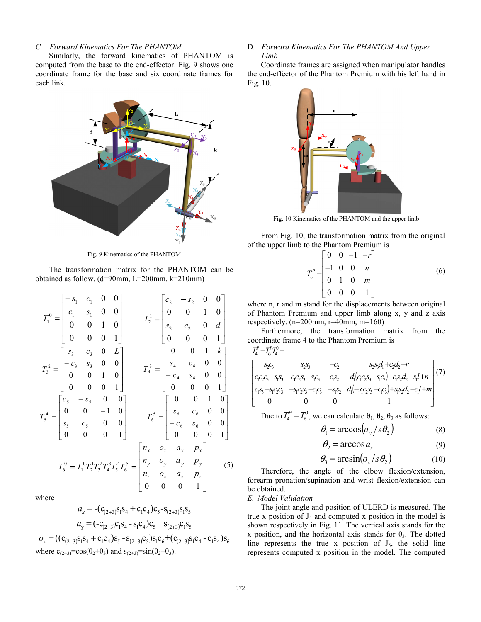## *C. Forward Kinematics For The PHANTOM*

Similarly, the forward kinematics of PHANTOM is computed from the base to the end-effector. Fig. 9 shows one coordinate frame for the base and six coordinate frames for each link.



Fig. 9 Kinematics of the PHANTOM

The transformation matrix for the PHANTOM can be obtained as follow. (d=90mm, L=200mm, k=210mm)

$$
T_1^0 = \begin{bmatrix} -s_1 & c_1 & 0 & 0 \\ c_1 & s_1 & 0 & 0 \\ 0 & 0 & 1 & 0 \\ 0 & 0 & 0 & 1 \end{bmatrix} \qquad T_2^1 = \begin{bmatrix} c_2 & -s_2 & 0 & 0 \\ 0 & 0 & 1 & 0 \\ s_2 & c_2 & 0 & d \\ 0 & 0 & 0 & 1 \end{bmatrix}
$$

$$
T_3^2 = \begin{bmatrix} s_3 & c_3 & 0 & L \\ -c_3 & s_3 & 0 & 0 \\ 0 & 0 & 1 & 0 \\ 0 & 0 & 0 & 1 \end{bmatrix} \qquad T_4^3 = \begin{bmatrix} 0 & 0 & 1 & k \\ s_4 & c_4 & 0 & 0 \\ -c_4 & s_4 & 0 & 0 \\ 0 & 0 & 0 & 1 \end{bmatrix}
$$

$$
T_5^4 = \begin{bmatrix} c_5 & -s_5 & 0 & 0 \\ 0 & 0 & -1 & 0 \\ s_5 & c_5 & 0 & 0 \\ 0 & 0 & 0 & 1 \end{bmatrix} \qquad T_6^5 = \begin{bmatrix} 0 & 0 & 1 & 0 \\ s_6 & c_6 & 0 & 0 \\ -c_6 & s_6 & 0 & 0 \\ 0 & 0 & 0 & 1 \end{bmatrix}
$$

$$
T_6^0 = T_1^0 T_2^1 T_3^2 T_4^3 T_5^4 T_6^5 = \begin{bmatrix} n_x & o_x & a_x & p_x \\ n_y & o_y & a_y & p_y \\ n_z & o_z & a_z & p_z \\ 0 & 0 & 0 & 1 \end{bmatrix} \qquad (5)
$$

where

$$
a_x = -(c_{(2+3)}s_1s_4 + c_1c_4)c_5 - s_{(2+3)}s_1s_5
$$
  
\n
$$
a_y = (-c_{(2+3)}c_1s_4 - s_1c_4)c_5 + s_{(2+3)}c_1s_5
$$
  
\n
$$
o_x = ((c_{(2+3)}s_1s_4 + c_1c_4)s_5 - s_{(2+3)}c_5)s_1c_6 + (c_{(2+3)}s_1c_4 - c_1s_4)s_6
$$
  
\nwhere  $c_{(2+3)} = cos(\theta_2 + \theta_3)$  and  $s_{(2+3)} = sin(\theta_2 + \theta_3)$ .

#### D. *Forward Kinematics For The PHANTOM And Upper Limb*

Coordinate frames are assigned when manipulator handles the end-effector of the Phantom Premium with his left hand in Fig. 10.



Fig. 10 Kinematics of the PHANTOM and the upper limb

From Fig. 10, the transformation matrix from the original of the upper limb to the Phantom Premium is

$$
T_U^P = \begin{bmatrix} 0 & 0 & -1 & -r \\ -1 & 0 & 0 & n \\ 0 & 1 & 0 & m \\ 0 & 0 & 0 & 1 \end{bmatrix}
$$
 (6)

where n, r and m stand for the displacements between original of Phantom Premium and upper limb along x, y and z axis respectively. (n=200mm, r=40mm, m=160)

Furthermore, the transformation matrix from the coordinate frame 4 to the Phantom Premium is

$$
T_4^P = T_U^P T_4^0 =
$$
\n
$$
\begin{bmatrix}\ns_2c_3 & s_2s_3 & -c_2 & s_2s_3d_1 + c_2d_2 - r \\
c_1c_2c_3 + s_1s_3 & c_1c_2s_3 - s_1c_3 & c_1s_2 & d_1(c_1c_2s_3 - s_1c_3) - c_1s_2d_2 - s_1t + n \\
c_1s_3 - s_1c_2c_3 & -s_1c_2s_3 - c_1c_3 & -s_1s_2 & d_1(-s_1c_2s_3 - c_1c_3) + s_1s_2d_2 - c_1t + m \\
0 & 0 & 0 & 1\n\end{bmatrix} (7)
$$

Due to  $T_4^P = T_6^0$ , we can calculate  $\theta_1$ ,  $\theta_2$ ,  $\theta_3$  as follows:

$$
\theta_1 = \arccos\left(a_y / s\theta_2\right) \tag{8}
$$

$$
\theta_2 = \arccos a_x \tag{9}
$$

$$
\theta_3 = \arcsin(o_x / s\theta_2) \tag{10}
$$

Therefore, the angle of the elbow flexion/extension, forearm pronation/supination and wrist flexion/extension can be obtained.

#### *E. Model Validation*

The joint angle and position of ULERD is measured. The true x position of  $J_5$  and computed x position in the model is shown respectively in Fig. 11. The vertical axis stands for the x position, and the horizontal axis stands for  $\theta_3$ . The dotted line represents the true x position of  $J_5$ , the solid line represents computed x position in the model. The computed